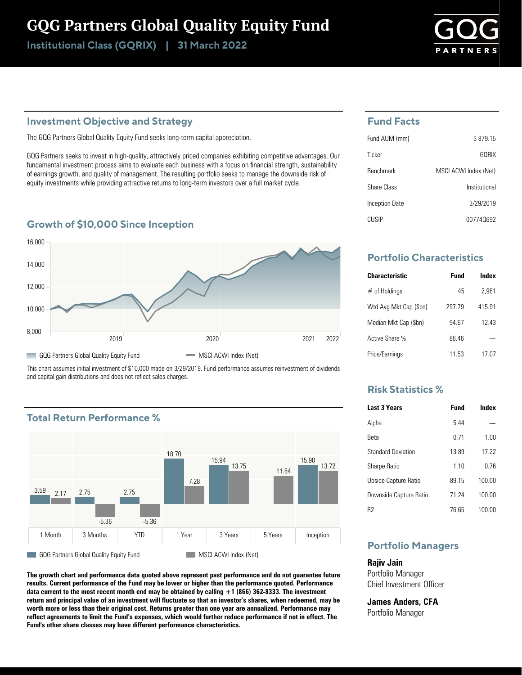## GQG Partners Global Quality Equity Fund

Institutional Class (GQRIX) | 31 March 2022



### **Investment Objective and Strategy**

The GQG Partners Global Quality Equity Fund seeks long-term capital appreciation.

GQG Partners seeks to invest in high-quality, attractively priced companies exhibiting competitive advantages. Our fundamental investment process aims to evaluate each business with a focus on financial strength, sustainability of earnings growth, and quality of management. The resulting portfolio seeks to manage the downside risk of equity investments while providing attractive returns to long-term investors over a full market cycle.

## **Growth of \$10,000 Since Inception**



This chart assumes initial investment of \$10,000 made on 3/29/2019. Fund performance assumes reinvestment of dividends and capital gain distributions and does not reflect sales charges.





**The growth chart and performance data quoted above represent past performance and do not guarantee future results. Current performance of the Fund may be lower or higher than the performance quoted. Performance data current to the most recent month end may be obtained by calling +1 (866) 362-8333. The investment return and principal value of an investment will fluctuate so that an investor's shares, when redeemed, may be worth more or less than their original cost. Returns greater than one year are annualized. Performance may reflect agreements to limit the Fund's expenses, which would further reduce performance if not in effect. The Fund's other share classes may have different performance characteristics.**

#### **Fund Facts**

| Fund AUM (mm)    | \$879.15              |
|------------------|-----------------------|
| Ticker           | GORIX                 |
| <b>Benchmark</b> | MSCI ACWI Index (Net) |
| Share Class      | Institutional         |
| Inception Date   | 3/29/2019             |
| <b>CLISIP</b>    | 007740692             |

## **Portfolio Characteristics**

| <b>Characteristic</b>  | Fund   | Index  |
|------------------------|--------|--------|
| $#$ of Holdings        | 45     | 2.961  |
| Wtd Avg Mkt Cap (\$bn) | 297 79 | 415.91 |
| Median Mkt Cap (\$bn)  | 94 67  | 12 43  |
| Active Share %         | 86 46  |        |
| Price/Earnings         | 11.53  | 17 07  |

## **Risk Statistics %**

| <b>Last 3 Years</b>       | <b>Fund</b> | Index  |
|---------------------------|-------------|--------|
| Alpha                     | 544         |        |
| Reta                      | 0 71        | 1.00   |
| <b>Standard Deviation</b> | 1389        | 17 22  |
| <b>Sharpe Ratio</b>       | 110         | በ 76   |
| Upside Capture Ratio      | 89 15       | 100.00 |
| Downside Capture Ratio    | 71 74       | 100.00 |
| R2                        | 76 65       | 100.00 |

## **Portfolio Managers**

**Rajiv Jain** Portfolio Manager Chief Investment Officer

**James Anders, CFA** Portfolio Manager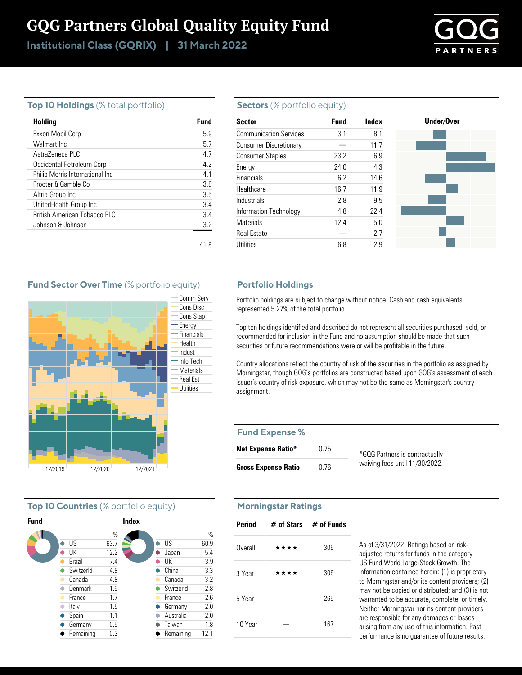# GQG Partners Global Quality Equity Fund

Institutional Class (GQRIX) | 31 March 2022



#### **Top 10 Holdings** (% total portfolio)

| Holding                         | Fund |
|---------------------------------|------|
| Exxon Mobil Corp                | 59   |
| Walmart Inc                     | 5.7  |
| AstraZeneca PLC                 | 47   |
| Occidental Petroleum Corp       | 42   |
| Philip Morris International Inc | 41   |
| Procter & Gamble Co             | 3.8  |
| Altria Group Inc                | 3.5  |
| UnitedHealth Group Inc          | 34   |
| British American Tobacco PLC    | 34   |
| Johnson & Johnson               | 3.2  |
|                                 |      |

#### **Sectors** (% portfolio equity)

| <b>Sector</b>                 | <b>Fund</b> | Index | Under/Over |
|-------------------------------|-------------|-------|------------|
| <b>Communication Services</b> | 3.1         | 8.1   |            |
| <b>Consumer Discretionary</b> |             | 11.7  |            |
| <b>Consumer Staples</b>       | 23.2        | 6.9   |            |
| Energy                        | 24.0        | 4.3   |            |
| Financials                    | 6.2         | 14.6  |            |
| Healthcare                    | 16.7        | 11.9  |            |
| <b>Industrials</b>            | 2.8         | 9.5   |            |
| Information Technology        | 4.8         | 22.4  |            |
| <b>Materials</b>              | 12.4        | 5.0   |            |
| <b>Real Estate</b>            |             | 2.7   |            |
| Utilities                     | 6.8         | 2.9   |            |

#### **Portfolio Holdings**

Portfolio holdings are subject to change without notice. Cash and cash equivalents represented 5.27% of the total portfolio.

Top ten holdings identified and described do not represent all securities purchased, sold, or recommended for inclusion in the Fund and no assumption should be made that such securities or future recommendations were or will be profitable in the future.

Country allocations reflect the country of risk of the securities in the portfolio as assigned by Morningstar, though GQG's portfolios are constructed based upon GQG's assessment of each issuer's country of risk exposure, which may not be the same as Morningstar's country assignment.

#### **Fund Expense %**

| <b>Net Expense Ratio*</b>  | 0.75 | *GQG Partners is contractually |
|----------------------------|------|--------------------------------|
| <b>Gross Expense Ratio</b> | 0.76 | waiving fees until 11/30/2022. |

#### **Morningstar Ratings**

| <b>Period</b> |      | $#$ of Stars $#$ of Funds |
|---------------|------|---------------------------|
| Overall       | **** | 306                       |
| 3 Year        | **** | 306                       |
| 5 Year        |      | 265                       |
| 10 Year       |      | 167                       |

As of 3/31/2022. Ratings based on riskadjusted returns for funds in the category US Fund World Large-Stock Growth. The information contained herein: (1) is proprietary to Morningstar and/or its content providers; (2) may not be copied or distributed; and (3) is not warranted to be accurate, complete, or timely. Neither Morningstar nor its content providers are responsible for any damages or losses arising from any use of this information. Past performance is no guarantee of future results.

#### **Fund Sector Over Time** (% portfolio equity)



#### **Top 10 Countries** (% portfolio equity)